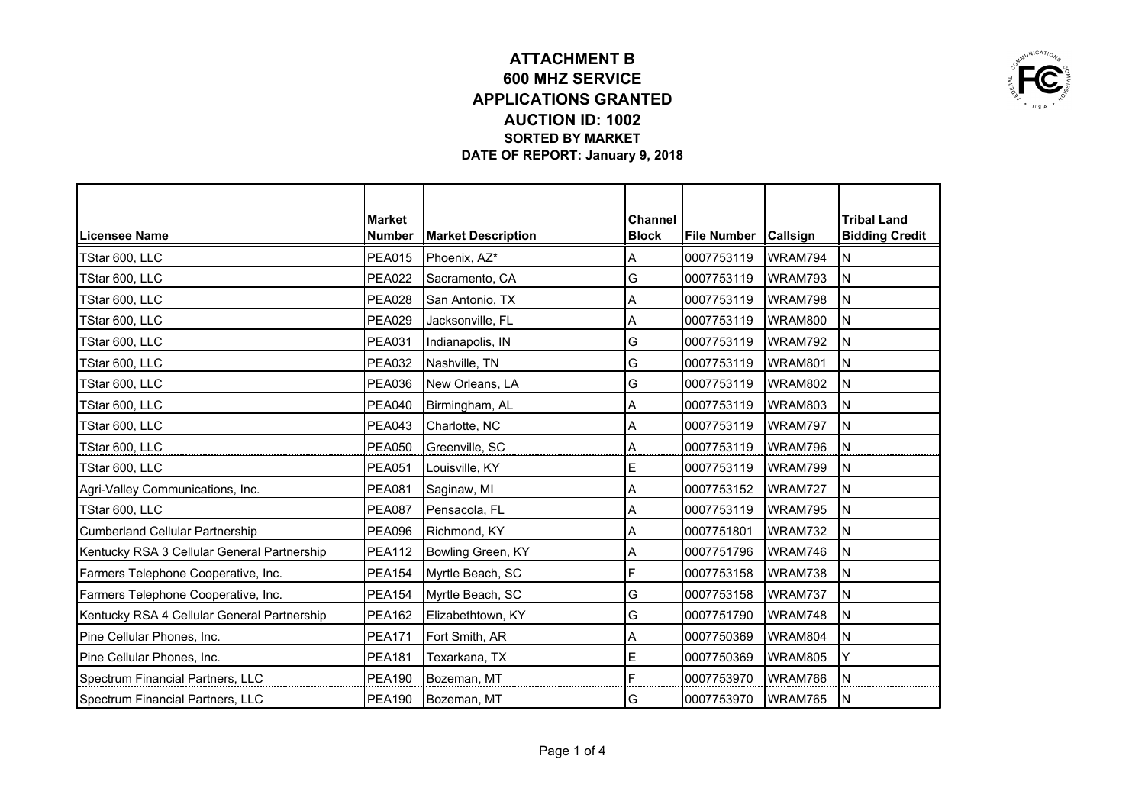

|                                             | <b>Market</b> |                           | <b>Channel</b> |                        |         | <b>Tribal Land</b>    |
|---------------------------------------------|---------------|---------------------------|----------------|------------------------|---------|-----------------------|
| Licensee Name                               | <b>Number</b> | <b>Market Description</b> | <b>Block</b>   | File Number   Callsign |         | <b>Bidding Credit</b> |
| TStar 600, LLC                              | <b>PEA015</b> | Phoenix, AZ*              | A              | 0007753119             | WRAM794 | IΝ                    |
| TStar 600, LLC                              | <b>PEA022</b> | Sacramento, CA            | G              | 0007753119             | WRAM793 | İN                    |
| TStar 600, LLC                              | <b>PEA028</b> | San Antonio, TX           | Α              | 0007753119             | WRAM798 | İΝ                    |
| TStar 600, LLC                              | <b>PEA029</b> | Jacksonville, FL          | Α              | 0007753119             | WRAM800 | İΝ                    |
| TStar 600, LLC                              | <b>PEA031</b> | Indianapolis, IN          | G              | 0007753119             | WRAM792 | ΙN                    |
| TStar 600, LLC                              | <b>PEA032</b> | Nashville, TN             | G              | 0007753119             | WRAM801 | ΙN                    |
| TStar 600, LLC                              | <b>PEA036</b> | New Orleans, LA           | G              | 0007753119             | WRAM802 | N                     |
| TStar 600, LLC                              | <b>PEA040</b> | Birmingham, AL            | Α              | 0007753119             | WRAM803 | ΙN                    |
| TStar 600, LLC                              | <b>PEA043</b> | Charlotte, NC             | Α              | 0007753119             | WRAM797 | ΙN                    |
| TStar 600, LLC                              | <b>PEA050</b> | Greenville, SC            | А              | 0007753119             | WRAM796 | ΙN                    |
| TStar 600, LLC                              | <b>PEA051</b> | Louisville, KY            | E              | 0007753119             | WRAM799 | ΙN                    |
| Agri-Valley Communications, Inc.            | <b>PEA081</b> | Saginaw, MI               | Α              | 0007753152             | WRAM727 | İΝ                    |
| TStar 600, LLC                              | <b>PEA087</b> | Pensacola, FL             | Α              | 0007753119             | WRAM795 | İΝ                    |
| <b>Cumberland Cellular Partnership</b>      | <b>PEA096</b> | Richmond, KY              | Α              | 0007751801             | WRAM732 | ΙN                    |
| Kentucky RSA 3 Cellular General Partnership | <b>PEA112</b> | Bowling Green, KY         | A              | 0007751796             | WRAM746 | ΙN                    |
| Farmers Telephone Cooperative, Inc.         | <b>PEA154</b> | Myrtle Beach, SC          | F              | 0007753158             | WRAM738 | ΙN                    |
| Farmers Telephone Cooperative, Inc.         | <b>PEA154</b> | Myrtle Beach, SC          | G              | 0007753158             | WRAM737 | İΝ                    |
| Kentucky RSA 4 Cellular General Partnership | <b>PEA162</b> | Elizabethtown, KY         | G              | 0007751790             | WRAM748 | ΙN                    |
| Pine Cellular Phones, Inc.                  | <b>PEA171</b> | Fort Smith, AR            | Α              | 0007750369             | WRAM804 | ΙN                    |
| Pine Cellular Phones, Inc.                  | <b>PEA181</b> | Texarkana, TX             | E              | 0007750369             | WRAM805 | Y                     |
| Spectrum Financial Partners, LLC            | <b>PEA190</b> | Bozeman, MT               | F              | 0007753970             | WRAM766 | ΙN                    |
| Spectrum Financial Partners, LLC            | <b>PEA190</b> | Bozeman, MT               | G              | 0007753970             | WRAM765 | İΝ                    |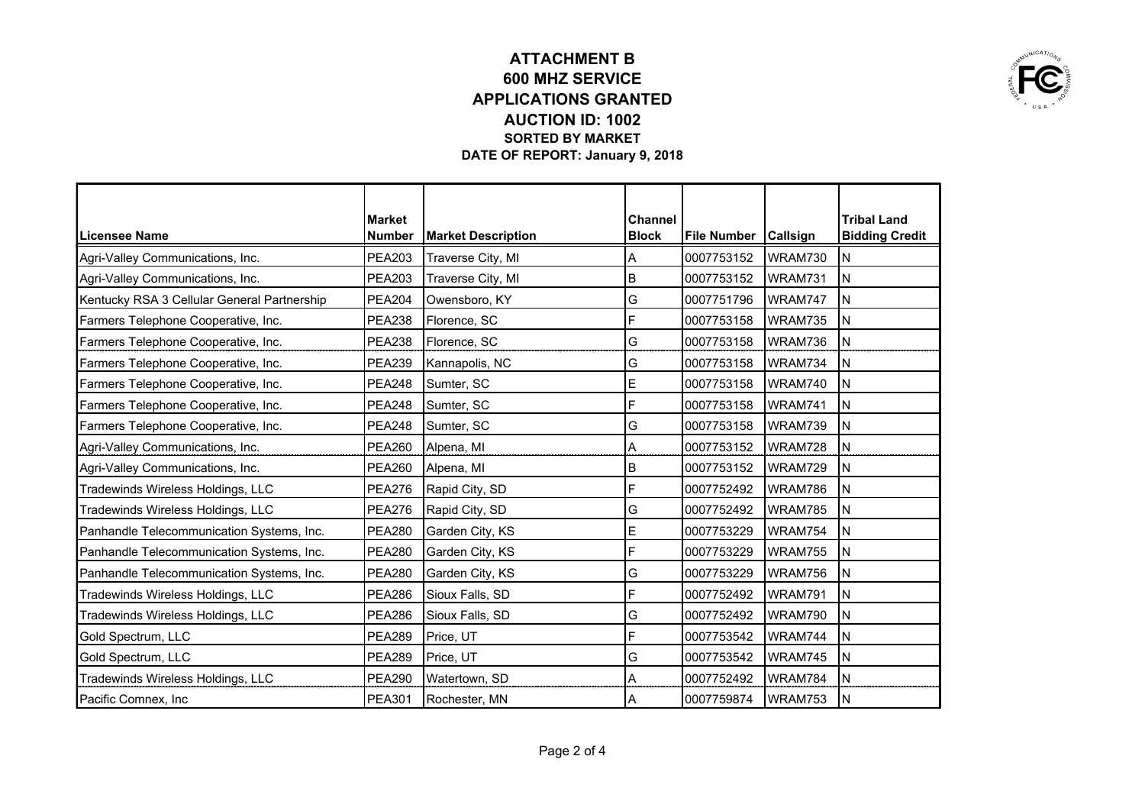

|                                             | <b>Market</b> |                           | <b>Channel</b> |                        |         | <b>Tribal Land</b>    |
|---------------------------------------------|---------------|---------------------------|----------------|------------------------|---------|-----------------------|
| Licensee Name                               | <b>Number</b> | <b>Market Description</b> | <b>Block</b>   | File Number   Callsign |         | <b>Bidding Credit</b> |
| Agri-Valley Communications, Inc.            | <b>PEA203</b> | Traverse City, MI         | A              | 0007753152             | WRAM730 | ΙN                    |
| Agri-Valley Communications, Inc.            | <b>PEA203</b> | Traverse City, MI         | B              | 0007753152             | WRAM731 | İΝ                    |
| Kentucky RSA 3 Cellular General Partnership | <b>PEA204</b> | Owensboro, KY             | G              | 0007751796             | WRAM747 | ΙN                    |
| Farmers Telephone Cooperative, Inc.         | <b>PEA238</b> | Florence, SC              | F              | 0007753158             | WRAM735 | ΙN                    |
| Farmers Telephone Cooperative, Inc.         | <b>PEA238</b> | Florence, SC              | G              | 0007753158             | WRAM736 | N                     |
| Farmers Telephone Cooperative, Inc.         | <b>PEA239</b> | Kannapolis, NC            | G              | 0007753158             | WRAM734 | ΙN                    |
| Farmers Telephone Cooperative, Inc.         | <b>PEA248</b> | Sumter, SC                | E              | 0007753158             | WRAM740 | İΝ                    |
| Farmers Telephone Cooperative, Inc.         | <b>PEA248</b> | Sumter, SC                | F              | 0007753158             | WRAM741 | İΝ                    |
| Farmers Telephone Cooperative, Inc.         | <b>PEA248</b> | Sumter, SC                | G              | 0007753158             | WRAM739 | İΝ                    |
| Agri-Valley Communications, Inc.            | <b>PEA260</b> | Alpena, MI                | Α              | 0007753152             | WRAM728 | IΝ                    |
| Agri-Valley Communications, Inc.            | <b>PEA260</b> | Alpena, MI                | В              | 0007753152             | WRAM729 | IN                    |
| Tradewinds Wireless Holdings, LLC           | <b>PEA276</b> | Rapid City, SD            | F              | 0007752492             | WRAM786 | İΝ                    |
| Tradewinds Wireless Holdings, LLC           | <b>PEA276</b> | Rapid City, SD            | G              | 0007752492             | WRAM785 | ΙN                    |
| Panhandle Telecommunication Systems, Inc.   | <b>PEA280</b> | Garden City, KS           | E              | 0007753229             | WRAM754 | İΝ                    |
| Panhandle Telecommunication Systems, Inc.   | <b>PEA280</b> | Garden City, KS           | F              | 0007753229             | WRAM755 | İΝ                    |
| Panhandle Telecommunication Systems, Inc.   | <b>PEA280</b> | Garden City, KS           | G              | 0007753229             | WRAM756 | İΝ                    |
| Tradewinds Wireless Holdings, LLC           | <b>PEA286</b> | Sioux Falls, SD           | F              | 0007752492             | WRAM791 | İΝ                    |
| Tradewinds Wireless Holdings, LLC           | <b>PEA286</b> | Sioux Falls, SD           | G              | 0007752492             | WRAM790 | ΙN                    |
| Gold Spectrum, LLC                          | <b>PEA289</b> | Price, UT                 | F              | 0007753542             | WRAM744 | IΝ                    |
| Gold Spectrum, LLC                          | <b>PEA289</b> | Price, UT                 | G              | 0007753542             | WRAM745 | İΝ                    |
| Tradewinds Wireless Holdings, LLC           | <b>PEA290</b> | Watertown, SD             | Α              | 0007752492             | WRAM784 | İΝ                    |
| Pacific Comnex, Inc                         | <b>PEA301</b> | Rochester, MN             | ΙA             | 0007759874             | WRAM753 | łΝ                    |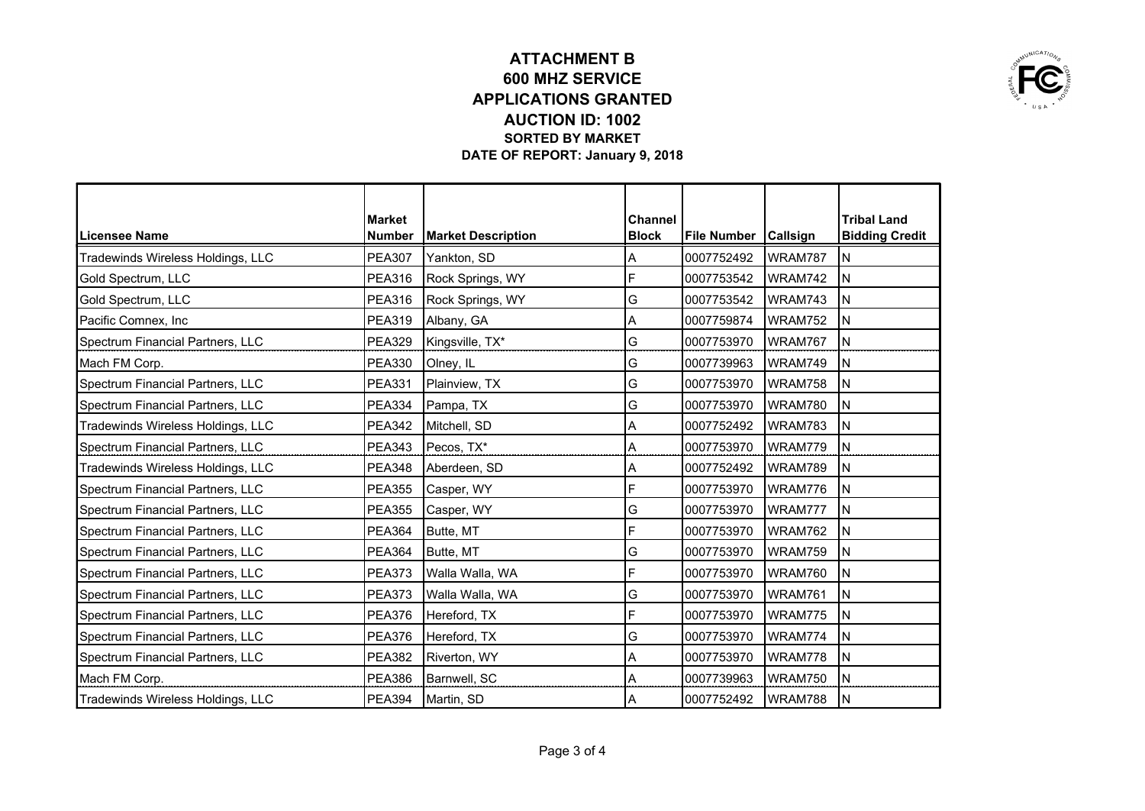

|                                   | <b>Market</b> |                           | <b>Channel</b> |                        |         | <b>Tribal Land</b>    |
|-----------------------------------|---------------|---------------------------|----------------|------------------------|---------|-----------------------|
| Licensee Name                     | <b>Number</b> | <b>Market Description</b> | <b>Block</b>   | File Number   Callsign |         | <b>Bidding Credit</b> |
| Tradewinds Wireless Holdings, LLC | <b>PEA307</b> | Yankton, SD               | A              | 0007752492             | WRAM787 | ΙN                    |
| Gold Spectrum, LLC                | <b>PEA316</b> | Rock Springs, WY          | F              | 0007753542             | WRAM742 | İΝ                    |
| Gold Spectrum, LLC                | <b>PEA316</b> | Rock Springs, WY          | G              | 0007753542             | WRAM743 | ΙN                    |
| Pacific Comnex, Inc               | <b>PEA319</b> | Albany, GA                | A              | 0007759874             | WRAM752 | ΙN                    |
| Spectrum Financial Partners, LLC  | <b>PEA329</b> | Kingsville, TX*           | G              | 0007753970             | WRAM767 | ΙN                    |
| Mach FM Corp.                     | <b>PEA330</b> | Olney, IL                 | G              | 0007739963             | WRAM749 | ΙN                    |
| Spectrum Financial Partners, LLC  | <b>PEA331</b> | Plainview, TX             | G              | 0007753970             | WRAM758 | ΙN                    |
| Spectrum Financial Partners, LLC  | <b>PEA334</b> | Pampa, TX                 | G              | 0007753970             | WRAM780 | İΝ                    |
| Tradewinds Wireless Holdings, LLC | <b>PEA342</b> | Mitchell, SD              | A              | 0007752492             | WRAM783 | İΝ                    |
| Spectrum Financial Partners, LLC  | <b>PEA343</b> | Pecos, TX*                | Α              | 0007753970             | WRAM779 | ΙN                    |
| Tradewinds Wireless Holdings, LLC | <b>PEA348</b> | Aberdeen, SD              | Α              | 0007752492             | WRAM789 | İΝ                    |
| Spectrum Financial Partners, LLC  | <b>PEA355</b> | Casper, WY                | F              | 0007753970             | WRAM776 | İN                    |
| Spectrum Financial Partners, LLC  | <b>PEA355</b> | Casper, WY                | G              | 0007753970             | WRAM777 | ΙN                    |
| Spectrum Financial Partners, LLC  | <b>PEA364</b> | Butte, MT                 | F              | 0007753970             | WRAM762 | İΝ                    |
| Spectrum Financial Partners, LLC  | <b>PEA364</b> | Butte, MT                 | G              | 0007753970             | WRAM759 | İΝ                    |
| Spectrum Financial Partners, LLC  | <b>PEA373</b> | Walla Walla, WA           | F              | 0007753970             | WRAM760 | İΝ                    |
| Spectrum Financial Partners, LLC  | <b>PEA373</b> | Walla Walla, WA           | G              | 0007753970             | WRAM761 | İΝ                    |
| Spectrum Financial Partners, LLC  | <b>PEA376</b> | Hereford, TX              | F              | 0007753970             | WRAM775 | ΙN                    |
| Spectrum Financial Partners, LLC  | <b>PEA376</b> | Hereford, TX              | G              | 0007753970             | WRAM774 | İΝ                    |
| Spectrum Financial Partners, LLC  | <b>PEA382</b> | Riverton, WY              | Α              | 0007753970             | WRAM778 | İΝ                    |
| Mach FM Corp.                     | <b>PEA386</b> | Barnwell, SC              | Α              | 0007739963             | WRAM750 | İΝ                    |
| Tradewinds Wireless Holdings, LLC | <b>PEA394</b> | Martin, SD                | ΙA             | 0007752492             | WRAM788 | łΝ                    |